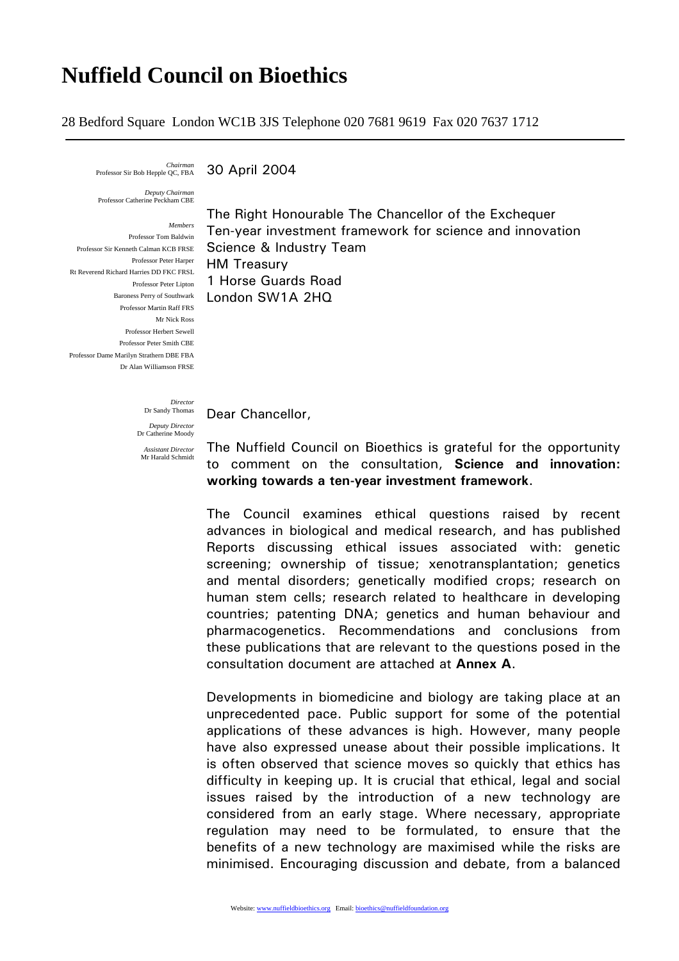# **Nuffield Council on Bioethics**

28 Bedford Square London WC1B 3JS Telephone 020 7681 9619 Fax 020 7637 1712

*Chairman* 

30 April 2004

*Deputy Chairman*  Professor Catherine Peckham CBE

*Members* Professor Tom Baldwin Professor Sir Kenneth Calman KCB FRSE Professor Peter Harper Rt Reverend Richard Harries DD FKC FRSL Professor Martin Raff FRS Mr Nick Ross Professor Herbert Sewell Professor Peter Smith CBE Professor Dame Marilyn Strathern DBE FBA Dr Alan Williamson FRSE

**Professor Peter Lipton** 1 Horse Guards Road Baroness Perry of Southwark London SW1A 2HQ The Right Honourable The Chancellor of the Exchequer Ten-year investment framework for science and innovation Science & Industry Team HM Treasury

*Director*  Dr Sandy Thomas

*Deputy Director*  Dear Chancellor,

Dr Catherine Moody *Assistant Director*  Mr Harald Schmidt

The Nuffield Council on Bioethics is grateful for the opportunity to comment on the consultation, **Science and innovation: working towards a ten-year investment framework**.

The Council examines ethical questions raised by recent advances in biological and medical research, and has published Reports discussing ethical issues associated with: genetic screening; ownership of tissue; xenotransplantation; genetics and mental disorders; genetically modified crops; research on human stem cells; research related to healthcare in developing countries; patenting DNA; genetics and human behaviour and pharmacogenetics. Recommendations and conclusions from these publications that are relevant to the questions posed in the consultation document are attached at **Annex A**.

Developments in biomedicine and biology are taking place at an unprecedented pace. Public support for some of the potential applications of these advances is high. However, many people have also expressed unease about their possible implications. It is often observed that science moves so quickly that ethics has difficulty in keeping up. It is crucial that ethical, legal and social issues raised by the introduction of a new technology are considered from an early stage. Where necessary, appropriate regulation may need to be formulated, to ensure that the benefits of a new technology are maximised while the risks are minimised. Encouraging discussion and debate, from a balanced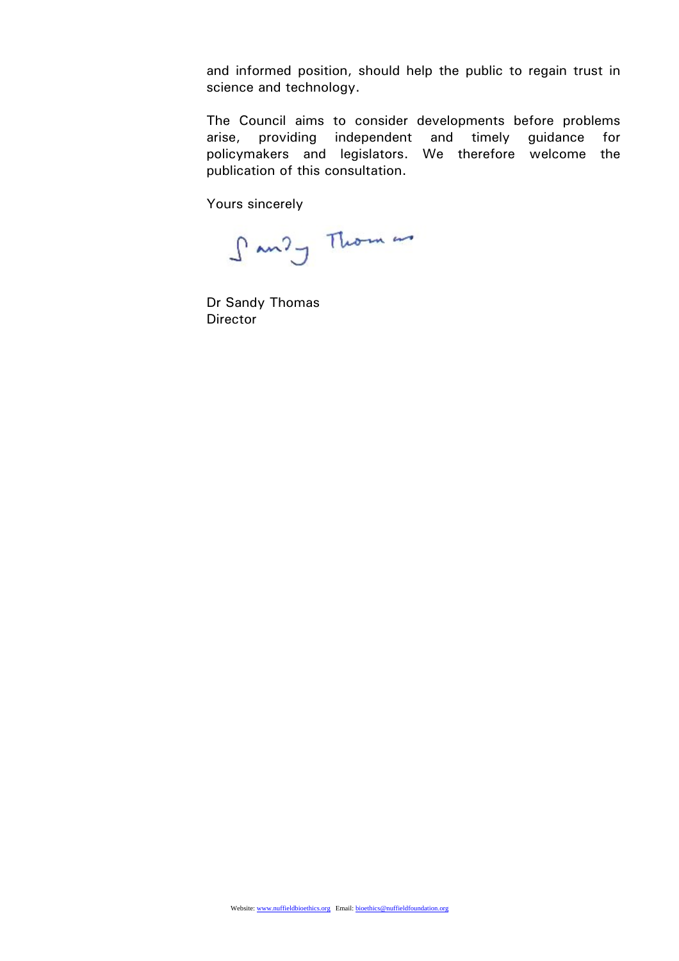and informed position, should help the public to regain trust in science and technology.

The Council aims to consider developments before problems arise, providing independent and timely guidance for policymakers and legislators. We therefore welcome the publication of this consultation.

Yours sincerely

Sandy Thomas

Dr Sandy Thomas **Director**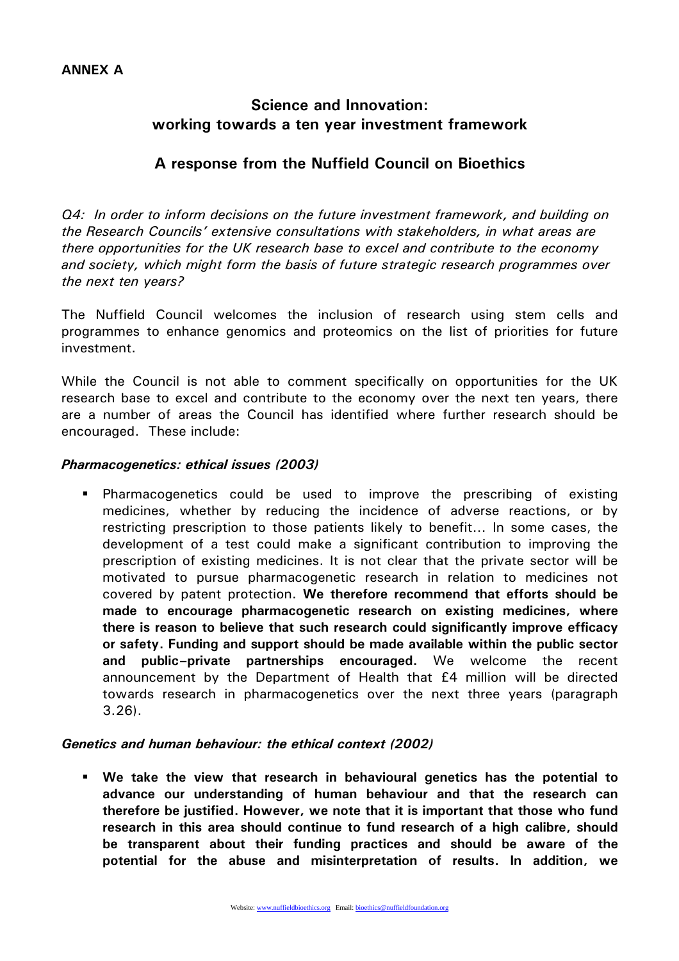## **Science and Innovation: working towards a ten year investment framework**

### **A response from the Nuffield Council on Bioethics**

*Q4: In order to inform decisions on the future investment framework, and building on the Research Councils' extensive consultations with stakeholders, in what areas are there opportunities for the UK research base to excel and contribute to the economy and society, which might form the basis of future strategic research programmes over the next ten years?* 

The Nuffield Council welcomes the inclusion of research using stem cells and programmes to enhance genomics and proteomics on the list of priorities for future investment.

While the Council is not able to comment specifically on opportunities for the UK research base to excel and contribute to the economy over the next ten years, there are a number of areas the Council has identified where further research should be encouraged. These include:

#### *Pharmacogenetics: ethical issues (2003)*

 Pharmacogenetics could be used to improve the prescribing of existing medicines, whether by reducing the incidence of adverse reactions, or by restricting prescription to those patients likely to benefit… In some cases, the development of a test could make a significant contribution to improving the prescription of existing medicines. It is not clear that the private sector will be motivated to pursue pharmacogenetic research in relation to medicines not covered by patent protection. **We therefore recommend that efforts should be made to encourage pharmacogenetic research on existing medicines, where there is reason to believe that such research could significantly improve efficacy or safety. Funding and support should be made available within the public sector and public–private partnerships encouraged.** We welcome the recent announcement by the Department of Health that £4 million will be directed towards research in pharmacogenetics over the next three years (paragraph 3.26).

#### *Genetics and human behaviour: the ethical context (2002)*

 **We take the view that research in behavioural genetics has the potential to advance our understanding of human behaviour and that the research can therefore be justified. However, we note that it is important that those who fund research in this area should continue to fund research of a high calibre, should be transparent about their funding practices and should be aware of the potential for the abuse and misinterpretation of results. In addition, we**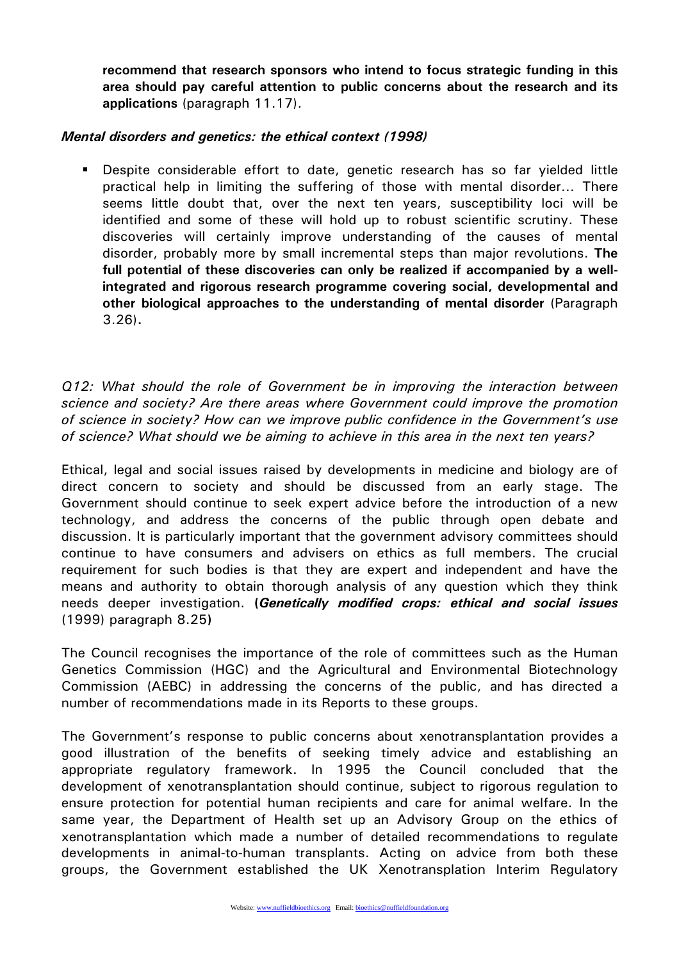**recommend that research sponsors who intend to focus strategic funding in this area should pay careful attention to public concerns about the research and its applications** (paragraph 11.17).

#### *Mental disorders and genetics: the ethical context (1998)*

 Despite considerable effort to date, genetic research has so far yielded little practical help in limiting the suffering of those with mental disorder… There seems little doubt that, over the next ten years, susceptibility loci will be identified and some of these will hold up to robust scientific scrutiny. These discoveries will certainly improve understanding of the causes of mental disorder, probably more by small incremental steps than major revolutions. **The full potential of these discoveries can only be realized if accompanied by a wellintegrated and rigorous research programme covering social, developmental and other biological approaches to the understanding of mental disorder** (Paragraph 3.26)**.** 

*Q12: What should the role of Government be in improving the interaction between science and society? Are there areas where Government could improve the promotion of science in society? How can we improve public confidence in the Government's use of science? What should we be aiming to achieve in this area in the next ten years?*

Ethical, legal and social issues raised by developments in medicine and biology are of direct concern to society and should be discussed from an early stage. The Government should continue to seek expert advice before the introduction of a new technology, and address the concerns of the public through open debate and discussion. It is particularly important that the government advisory committees should continue to have consumers and advisers on ethics as full members. The crucial requirement for such bodies is that they are expert and independent and have the means and authority to obtain thorough analysis of any question which they think needs deeper investigation. **(***Genetically modified crops: ethical and social issues* (1999) paragraph 8.25**)** 

The Council recognises the importance of the role of committees such as the Human Genetics Commission (HGC) and the Agricultural and Environmental Biotechnology Commission (AEBC) in addressing the concerns of the public, and has directed a number of recommendations made in its Reports to these groups.

The Government's response to public concerns about xenotransplantation provides a good illustration of the benefits of seeking timely advice and establishing an appropriate regulatory framework. In 1995 the Council concluded that the development of xenotransplantation should continue, subject to rigorous regulation to ensure protection for potential human recipients and care for animal welfare. In the same year, the Department of Health set up an Advisory Group on the ethics of xenotransplantation which made a number of detailed recommendations to regulate developments in animal-to-human transplants. Acting on advice from both these groups, the Government established the UK Xenotransplation Interim Regulatory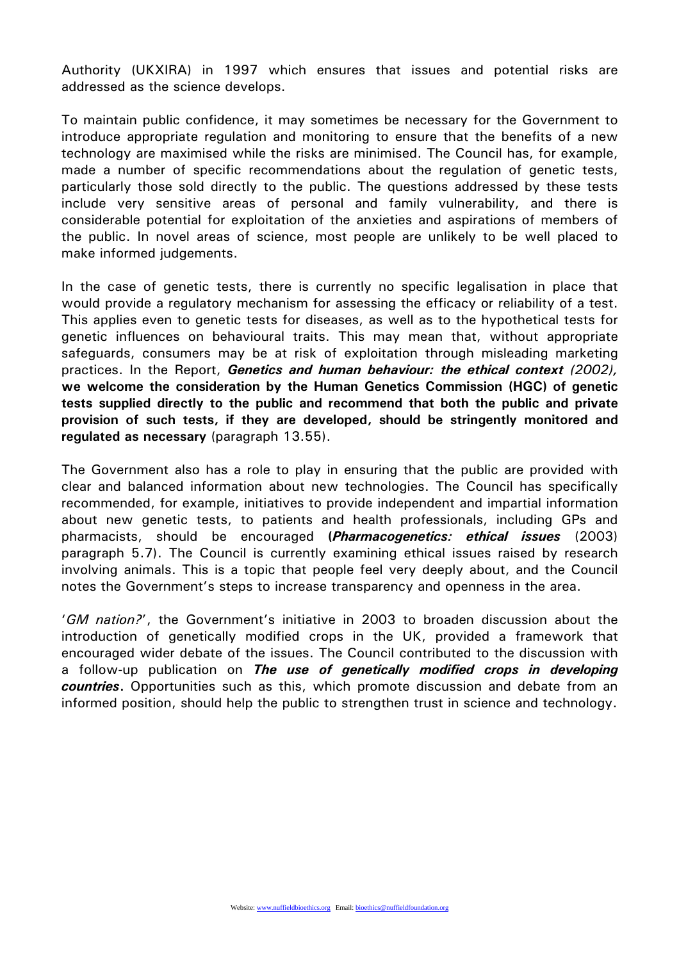Authority (UKXIRA) in 1997 which ensures that issues and potential risks are addressed as the science develops.

To maintain public confidence, it may sometimes be necessary for the Government to introduce appropriate regulation and monitoring to ensure that the benefits of a new technology are maximised while the risks are minimised. The Council has, for example, made a number of specific recommendations about the regulation of genetic tests, particularly those sold directly to the public. The questions addressed by these tests include very sensitive areas of personal and family vulnerability, and there is considerable potential for exploitation of the anxieties and aspirations of members of the public. In novel areas of science, most people are unlikely to be well placed to make informed judgements.

In the case of genetic tests, there is currently no specific legalisation in place that would provide a regulatory mechanism for assessing the efficacy or reliability of a test. This applies even to genetic tests for diseases, as well as to the hypothetical tests for genetic influences on behavioural traits. This may mean that, without appropriate safeguards, consumers may be at risk of exploitation through misleading marketing practices. In the Report, *Genetics and human behaviour: the ethical context (2002),* **we welcome the consideration by the Human Genetics Commission (HGC) of genetic tests supplied directly to the public and recommend that both the public and private provision of such tests, if they are developed, should be stringently monitored and regulated as necessary** (paragraph 13.55).

The Government also has a role to play in ensuring that the public are provided with clear and balanced information about new technologies. The Council has specifically recommended, for example, initiatives to provide independent and impartial information about new genetic tests, to patients and health professionals, including GPs and pharmacists, should be encouraged **(***Pharmacogenetics: ethical issues* (2003) paragraph 5.7). The Council is currently examining ethical issues raised by research involving animals. This is a topic that people feel very deeply about, and the Council notes the Government's steps to increase transparency and openness in the area.

'*GM nation?*', the Government's initiative in 2003 to broaden discussion about the introduction of genetically modified crops in the UK, provided a framework that encouraged wider debate of the issues. The Council contributed to the discussion with a follow-up publication on *The use of genetically modified crops in developing countries***.** Opportunities such as this, which promote discussion and debate from an informed position, should help the public to strengthen trust in science and technology.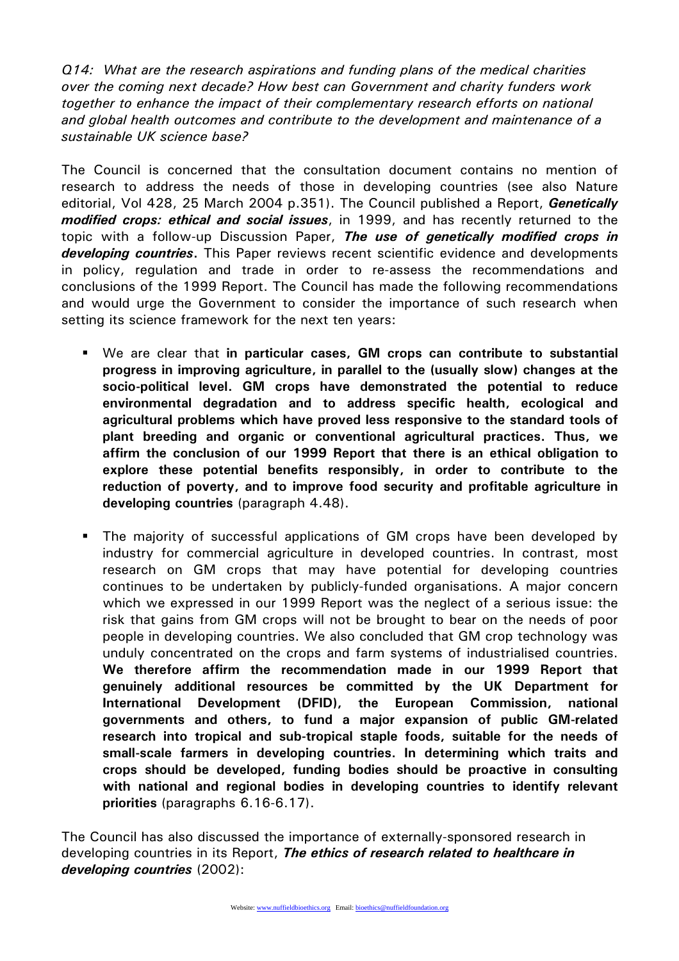*Q14: What are the research aspirations and funding plans of the medical charities over the coming next decade? How best can Government and charity funders work together to enhance the impact of their complementary research efforts on national and global health outcomes and contribute to the development and maintenance of a sustainable UK science base?* 

The Council is concerned that the consultation document contains no mention of research to address the needs of those in developing countries (see also Nature editorial, Vol 428, 25 March 2004 p.351). The Council published a Report, *Genetically modified crops: ethical and social issues*, in 1999, and has recently returned to the topic with a follow-up Discussion Paper, *The use of genetically modified crops in developing countries***.** This Paper reviews recent scientific evidence and developments in policy, regulation and trade in order to re-assess the recommendations and conclusions of the 1999 Report. The Council has made the following recommendations and would urge the Government to consider the importance of such research when setting its science framework for the next ten years:

- We are clear that **in particular cases, GM crops can contribute to substantial progress in improving agriculture, in parallel to the (usually slow) changes at the socio-political level. GM crops have demonstrated the potential to reduce environmental degradation and to address specific health, ecological and agricultural problems which have proved less responsive to the standard tools of plant breeding and organic or conventional agricultural practices. Thus, we affirm the conclusion of our 1999 Report that there is an ethical obligation to explore these potential benefits responsibly, in order to contribute to the reduction of poverty, and to improve food security and profitable agriculture in developing countries** (paragraph 4.48).
- The majority of successful applications of GM crops have been developed by industry for commercial agriculture in developed countries. In contrast, most research on GM crops that may have potential for developing countries continues to be undertaken by publicly-funded organisations. A major concern which we expressed in our 1999 Report was the neglect of a serious issue: the risk that gains from GM crops will not be brought to bear on the needs of poor people in developing countries. We also concluded that GM crop technology was unduly concentrated on the crops and farm systems of industrialised countries. **We therefore affirm the recommendation made in our 1999 Report that genuinely additional resources be committed by the UK Department for International Development (DFID), the European Commission, national governments and others, to fund a major expansion of public GM-related research into tropical and sub-tropical staple foods, suitable for the needs of small-scale farmers in developing countries. In determining which traits and crops should be developed, funding bodies should be proactive in consulting with national and regional bodies in developing countries to identify relevant priorities** (paragraphs 6.16-6.17).

The Council has also discussed the importance of externally-sponsored research in developing countries in its Report, *The ethics of research related to healthcare in developing countries* (2002):